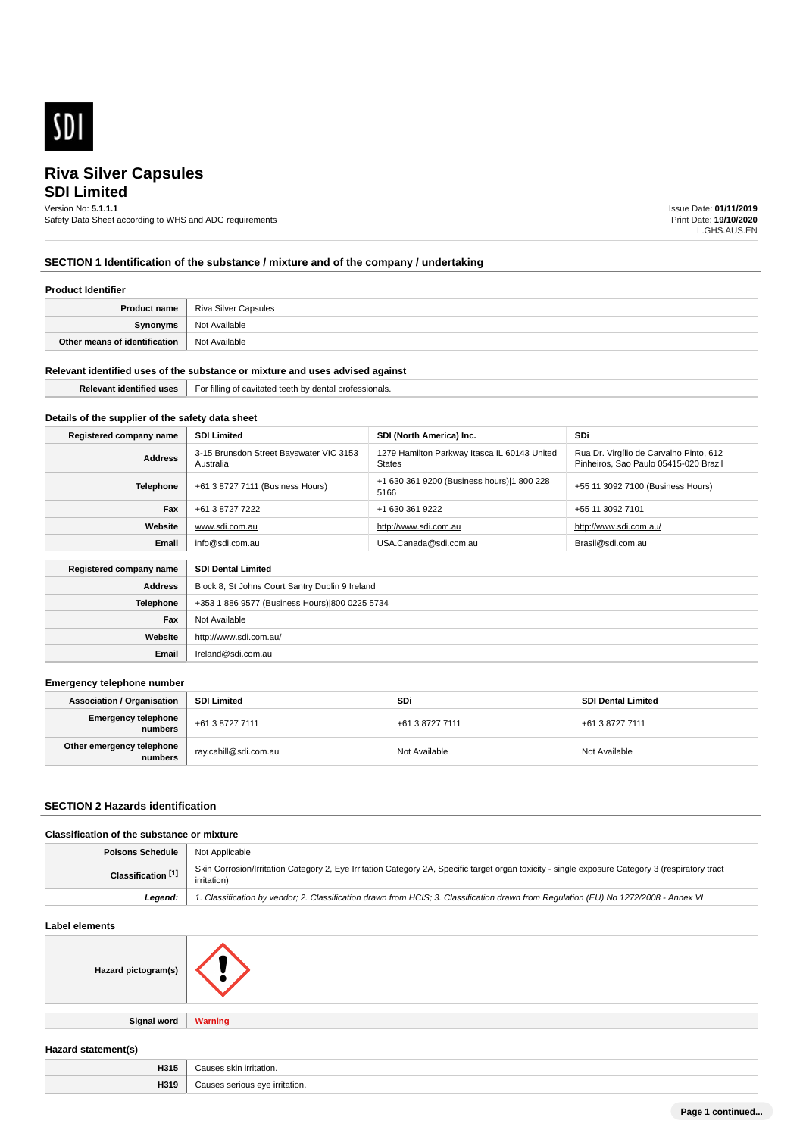

# **SDI Limited**

Version No: **5.1.1.1**

Safety Data Sheet according to WHS and ADG requirements

Issue Date: **01/11/2019** Print Date: **19/10/2020** L.GHS.AUS.EN

# **SECTION 1 Identification of the substance / mixture and of the company / undertaking**

#### **Product Identifier**

| Product name                  | Riva Silver Capsules |
|-------------------------------|----------------------|
| Synonyms                      | Not Available        |
| Other means of identification | Not Available        |

#### **Relevant identified uses of the substance or mixture and uses advised against**

| entitie. | <br>For fillin<br>professionals.<br>$+0.0$<br>$\overline{ }$<br>нана<br><br>1551 L |  |
|----------|------------------------------------------------------------------------------------|--|
|          |                                                                                    |  |

# **Details of the supplier of the safety data sheet**

**Website**

**Email** Ireland@sdi.com.au

http://www.sdi.com.au/

| Registered company name | <b>SDI Limited</b>                                   | SDI (North America) Inc.                               | SDi                                                                              |
|-------------------------|------------------------------------------------------|--------------------------------------------------------|----------------------------------------------------------------------------------|
| <b>Address</b>          | 3-15 Brunsdon Street Bayswater VIC 3153<br>Australia | 1279 Hamilton Parkway Itasca IL 60143 United<br>States | Rua Dr. Virgílio de Carvalho Pinto, 612<br>Pinheiros, Sao Paulo 05415-020 Brazil |
| Telephone               | +61 3 8727 7111 (Business Hours)                     | +1 630 361 9200 (Business hours) 1 800 228<br>5166     | +55 11 3092 7100 (Business Hours)                                                |
| Fax                     | +61 3 8727 7222                                      | +1 630 361 9222                                        | +55 11 3092 7101                                                                 |
| Website                 | www.sdi.com.au                                       | http://www.sdi.com.au                                  | http://www.sdi.com.au/                                                           |
| Email                   | info@sdi.com.au                                      | USA.Canada@sdi.com.au                                  | Brasil@sdi.com.au                                                                |
|                         |                                                      |                                                        |                                                                                  |
| Registered company name |                                                      | <b>SDI Dental Limited</b>                              |                                                                                  |
| <b>Address</b>          | Block 8, St Johns Court Santry Dublin 9 Ireland      |                                                        |                                                                                  |
| <b>Telephone</b>        | +353 1 886 9577 (Business Hours) 800 0225 5734       |                                                        |                                                                                  |
| Fax                     | Not Available                                        |                                                        |                                                                                  |

#### **Emergency telephone number**

| <b>Association / Organisation</b>    | SDI Limited           | <b>SDi</b>      | <b>SDI Dental Limited</b> |
|--------------------------------------|-----------------------|-----------------|---------------------------|
| Emergency telephone<br>numbers       | +61 3 8727 7111       | +61 3 8727 7111 | +61 3 8727 7111           |
| Other emergency telephone<br>numbers | ray.cahill@sdi.com.au | Not Available   | Not Available             |

#### **SECTION 2 Hazards identification**

## **Classification of the substance or mixture**

| <b>Poisons Schedule</b>       | <sup>1</sup> Not Applicable                                                                                                                                     |
|-------------------------------|-----------------------------------------------------------------------------------------------------------------------------------------------------------------|
| Classification <sup>[1]</sup> | Skin Corrosion/Irritation Category 2, Eye Irritation Category 2A, Specific target organ toxicity - single exposure Category 3 (respiratory tract<br>irritation) |
| Leaend:                       | 1. Classification by vendor; 2. Classification drawn from HCIS; 3. Classification drawn from Regulation (EU) No 1272/2008 - Annex VI                            |

#### **Label elements**

| Hazard pictogram(s) |                |
|---------------------|----------------|
| <b>Signal word</b>  | <b>Warning</b> |

# **Hazard statement(s)**

| H315 | skir<br>irritation.<br>.       |
|------|--------------------------------|
| H319 | irritation.<br>$^{\circ}$<br>. |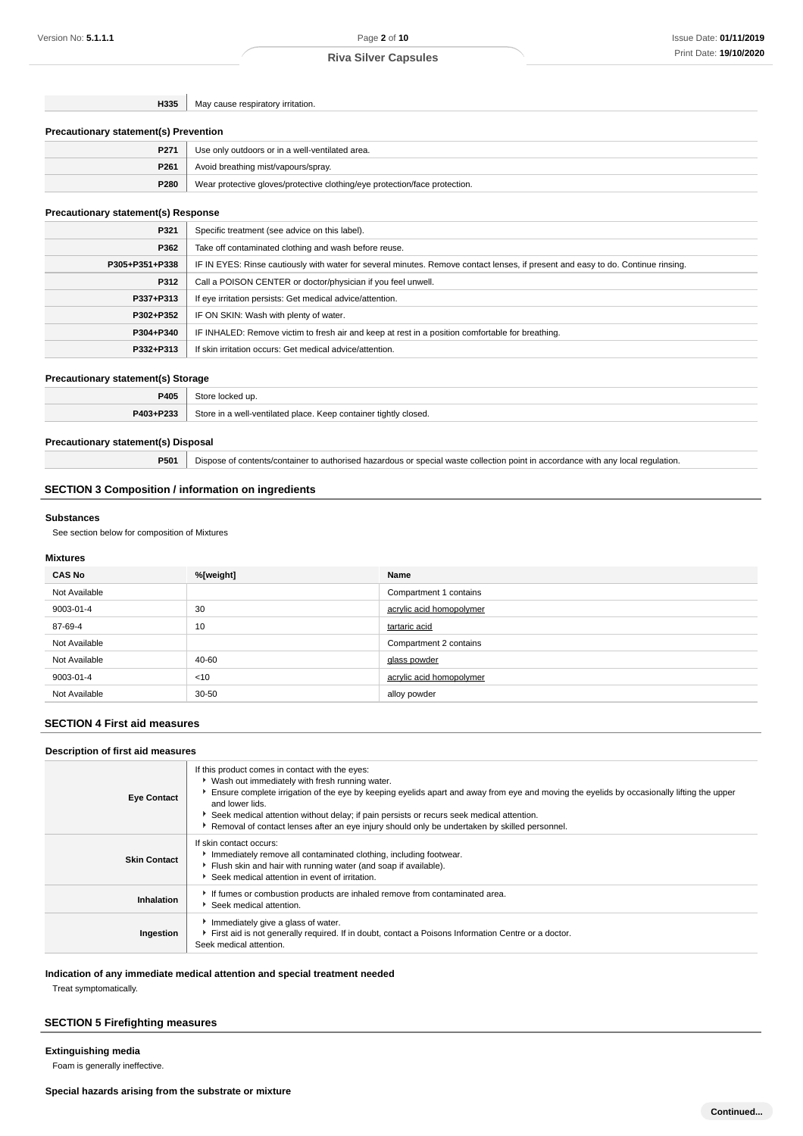**H335** May cause respiratory irritation.

#### **Precautionary statement(s) Prevention**

| P271 | Use only outdoors or in a well-ventilated area.                            |
|------|----------------------------------------------------------------------------|
| P261 | Avoid breathing mist/vapours/spray.                                        |
| P280 | Wear protective gloves/protective clothing/eye protection/face protection. |

## **Precautionary statement(s) Response**

| P321           | Specific treatment (see advice on this label).                                                                                   |
|----------------|----------------------------------------------------------------------------------------------------------------------------------|
| P362           | Take off contaminated clothing and wash before reuse.                                                                            |
| P305+P351+P338 | IF IN EYES: Rinse cautiously with water for several minutes. Remove contact lenses, if present and easy to do. Continue rinsing. |
| P312           | Call a POISON CENTER or doctor/physician if you feel unwell.                                                                     |
| P337+P313      | If eye irritation persists: Get medical advice/attention.                                                                        |
| P302+P352      | IF ON SKIN: Wash with plenty of water.                                                                                           |
| P304+P340      | IF INHALED: Remove victim to fresh air and keep at rest in a position comfortable for breathing.                                 |
| P332+P313      | If skin irritation occurs: Get medical advice/attention.                                                                         |

#### **Precautionary statement(s) Storage**

| __<br>____ | __                                                                    |
|------------|-----------------------------------------------------------------------|
| 2405       | ΠŊ                                                                    |
| P403+P233  | Store<br>. Keep container tightly closed.<br>مصوام امعاواناموردااوس د |
|            |                                                                       |

#### **Precautionary statement(s) Disposal**

**P501** Dispose of contents/container to authorised hazardous or special waste collection point in accordance with any local regulation.

# **SECTION 3 Composition / information on ingredients**

#### **Substances**

See section below for composition of Mixtures

#### **Mixtures**

| <b>CAS No</b> | %[weight] | Name                     |
|---------------|-----------|--------------------------|
| Not Available |           | Compartment 1 contains   |
| 9003-01-4     | 30        | acrylic acid homopolymer |
| 87-69-4       | 10        | tartaric acid            |
| Not Available |           | Compartment 2 contains   |
| Not Available | 40-60     | glass powder             |
| 9003-01-4     | < 10      | acrylic acid homopolymer |
| Not Available | $30 - 50$ | alloy powder             |

#### **SECTION 4 First aid measures**

#### **Description of first aid measures**

| <b>Eye Contact</b>  | If this product comes in contact with the eyes:<br>▶ Wash out immediately with fresh running water.<br>Ensure complete irrigation of the eye by keeping eyelids apart and away from eye and moving the eyelids by occasionally lifting the upper<br>and lower lids.<br>▶ Seek medical attention without delay; if pain persists or recurs seek medical attention.<br>Removal of contact lenses after an eye injury should only be undertaken by skilled personnel. |
|---------------------|--------------------------------------------------------------------------------------------------------------------------------------------------------------------------------------------------------------------------------------------------------------------------------------------------------------------------------------------------------------------------------------------------------------------------------------------------------------------|
| <b>Skin Contact</b> | If skin contact occurs:<br>Immediately remove all contaminated clothing, including footwear.<br>Flush skin and hair with running water (and soap if available).<br>Seek medical attention in event of irritation.                                                                                                                                                                                                                                                  |
| Inhalation          | If fumes or combustion products are inhaled remove from contaminated area.<br>Seek medical attention.                                                                                                                                                                                                                                                                                                                                                              |
| Ingestion           | Immediately give a glass of water.<br>First aid is not generally required. If in doubt, contact a Poisons Information Centre or a doctor.<br>Seek medical attention.                                                                                                                                                                                                                                                                                               |

#### **Indication of any immediate medical attention and special treatment needed**

Treat symptomatically.

# **SECTION 5 Firefighting measures**

**Extinguishing media**

Foam is generally ineffective.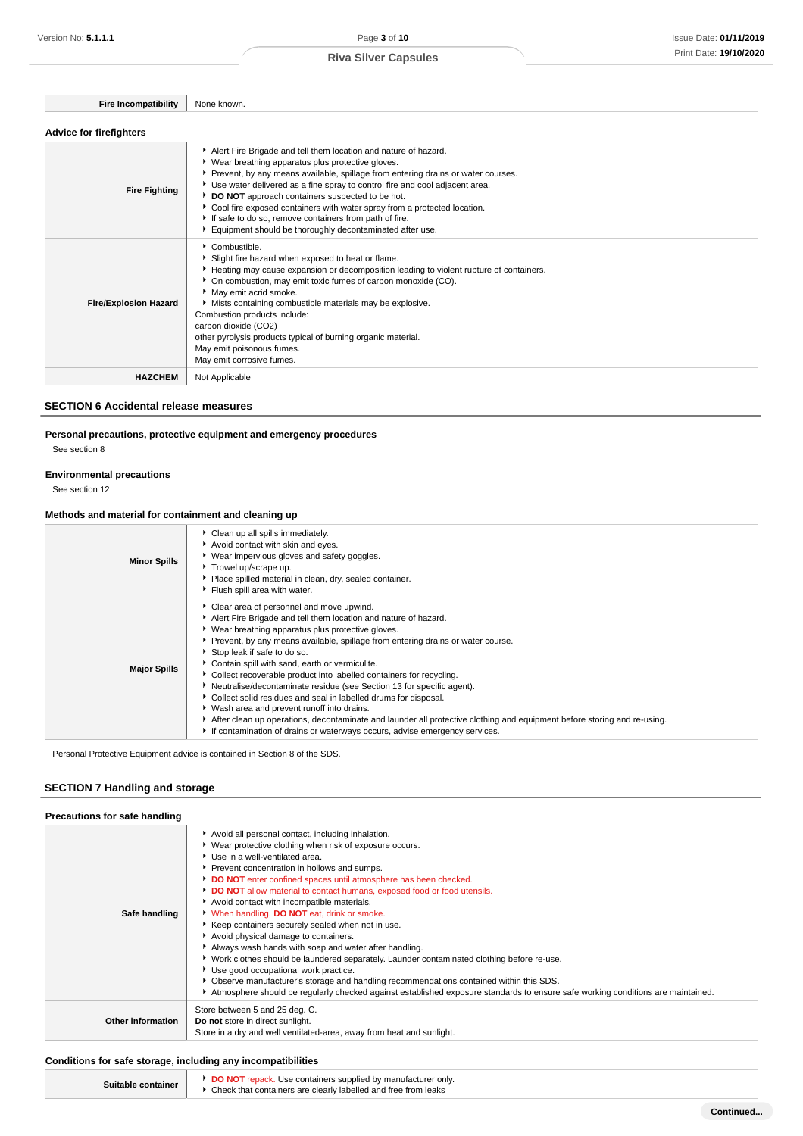| <b>Fire Incompatibility</b> | None known. |
|-----------------------------|-------------|
|-----------------------------|-------------|

#### **Advice for firefighters**

| unice in illeligille s       |                                                                                                                                                                                                                                                                                                                                                                                                                                                                                                                                                 |
|------------------------------|-------------------------------------------------------------------------------------------------------------------------------------------------------------------------------------------------------------------------------------------------------------------------------------------------------------------------------------------------------------------------------------------------------------------------------------------------------------------------------------------------------------------------------------------------|
| <b>Fire Fighting</b>         | Alert Fire Brigade and tell them location and nature of hazard.<br>▶ Wear breathing apparatus plus protective gloves.<br>Prevent, by any means available, spillage from entering drains or water courses.<br>► Use water delivered as a fine spray to control fire and cool adjacent area.<br>DO NOT approach containers suspected to be hot.<br>Cool fire exposed containers with water spray from a protected location.<br>If safe to do so, remove containers from path of fire.<br>Equipment should be thoroughly decontaminated after use. |
| <b>Fire/Explosion Hazard</b> | Combustible.<br>Slight fire hazard when exposed to heat or flame.<br>Heating may cause expansion or decomposition leading to violent rupture of containers.<br>• On combustion, may emit toxic fumes of carbon monoxide (CO).<br>May emit acrid smoke.<br>• Mists containing combustible materials may be explosive.<br>Combustion products include:<br>carbon dioxide (CO2)<br>other pyrolysis products typical of burning organic material.<br>May emit poisonous fumes.<br>May emit corrosive fumes.                                         |
| <b>HAZCHEM</b>               | Not Applicable                                                                                                                                                                                                                                                                                                                                                                                                                                                                                                                                  |
|                              |                                                                                                                                                                                                                                                                                                                                                                                                                                                                                                                                                 |

# **SECTION 6 Accidental release measures**

# **Personal precautions, protective equipment and emergency procedures**

See section 8

# **Environmental precautions**

See section 12

#### **Methods and material for containment and cleaning up**

| <b>Minor Spills</b> | Clean up all spills immediately.<br>Avoid contact with skin and eyes.<br>▶ Wear impervious gloves and safety goggles.<br>Trowel up/scrape up.<br>Place spilled material in clean, dry, sealed container.<br>Flush spill area with water.                                                                                                                                                                                                                                                                                                                                                                                                                                                                                                                                                                             |
|---------------------|----------------------------------------------------------------------------------------------------------------------------------------------------------------------------------------------------------------------------------------------------------------------------------------------------------------------------------------------------------------------------------------------------------------------------------------------------------------------------------------------------------------------------------------------------------------------------------------------------------------------------------------------------------------------------------------------------------------------------------------------------------------------------------------------------------------------|
| <b>Major Spills</b> | Clear area of personnel and move upwind.<br>Alert Fire Brigade and tell them location and nature of hazard.<br>▶ Wear breathing apparatus plus protective gloves.<br>▶ Prevent, by any means available, spillage from entering drains or water course.<br>Stop leak if safe to do so.<br>Contain spill with sand, earth or vermiculite.<br>▶ Collect recoverable product into labelled containers for recycling.<br>Neutralise/decontaminate residue (see Section 13 for specific agent).<br>Collect solid residues and seal in labelled drums for disposal.<br>▶ Wash area and prevent runoff into drains.<br>After clean up operations, decontaminate and launder all protective clothing and equipment before storing and re-using.<br>If contamination of drains or waterways occurs, advise emergency services. |

Personal Protective Equipment advice is contained in Section 8 of the SDS.

# **SECTION 7 Handling and storage**

# **Precautions for safe handling**

| Safe handling            | Avoid all personal contact, including inhalation.<br>▶ Wear protective clothing when risk of exposure occurs.<br>Use in a well-ventilated area.<br>Prevent concentration in hollows and sumps.<br>DO NOT enter confined spaces until atmosphere has been checked.<br>DO NOT allow material to contact humans, exposed food or food utensils.<br>Avoid contact with incompatible materials.<br>V When handling, <b>DO NOT</b> eat, drink or smoke.<br>▶ Keep containers securely sealed when not in use.<br>Avoid physical damage to containers.<br>Always wash hands with soap and water after handling.<br>• Work clothes should be laundered separately. Launder contaminated clothing before re-use.<br>Use good occupational work practice.<br>▶ Observe manufacturer's storage and handling recommendations contained within this SDS. |
|--------------------------|---------------------------------------------------------------------------------------------------------------------------------------------------------------------------------------------------------------------------------------------------------------------------------------------------------------------------------------------------------------------------------------------------------------------------------------------------------------------------------------------------------------------------------------------------------------------------------------------------------------------------------------------------------------------------------------------------------------------------------------------------------------------------------------------------------------------------------------------|
|                          | Atmosphere should be regularly checked against established exposure standards to ensure safe working conditions are maintained.                                                                                                                                                                                                                                                                                                                                                                                                                                                                                                                                                                                                                                                                                                             |
| <b>Other information</b> | Store between 5 and 25 deg. C.<br>Do not store in direct sunlight.<br>Store in a dry and well ventilated-area, away from heat and sunlight.                                                                                                                                                                                                                                                                                                                                                                                                                                                                                                                                                                                                                                                                                                 |

# **Conditions for safe storage, including any incompatibilities**

| Suitable container | <b>DO NOT</b> repack. Use containers supplied by manufacturer only.<br>► Check that containers are clearly labelled and free from leaks |
|--------------------|-----------------------------------------------------------------------------------------------------------------------------------------|
|--------------------|-----------------------------------------------------------------------------------------------------------------------------------------|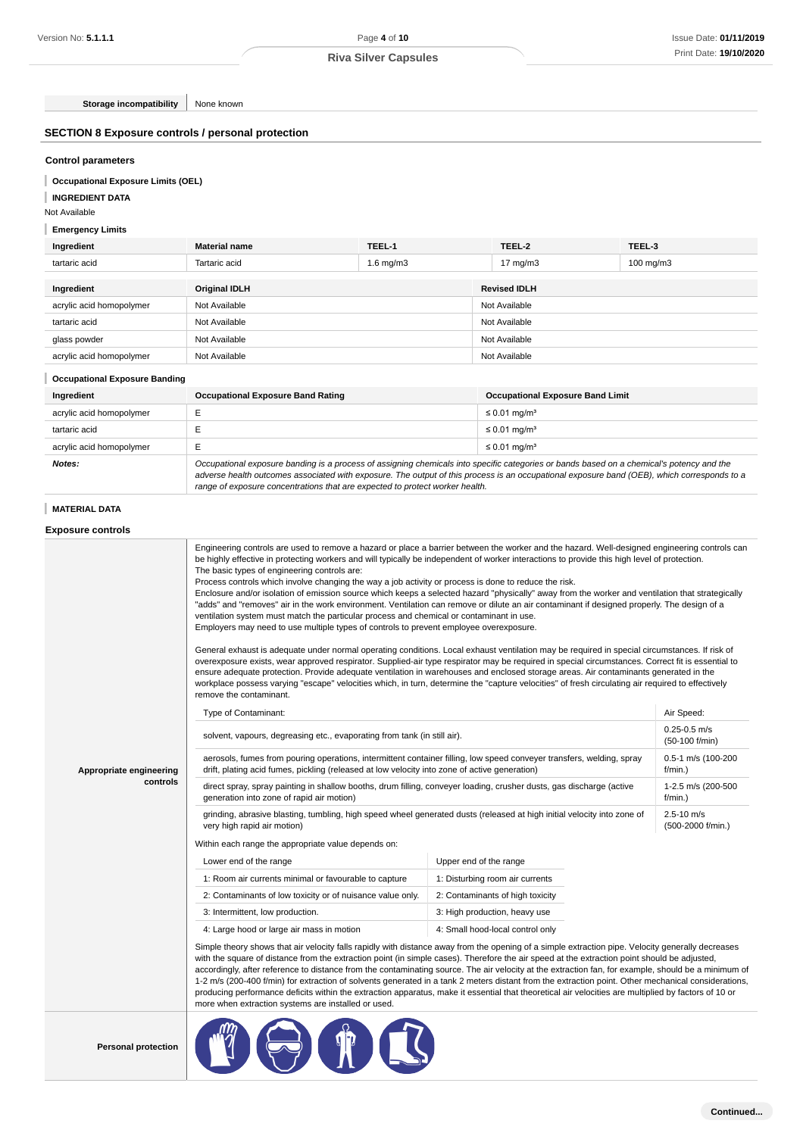#### **SECTION 8 Exposure controls / personal protection**

#### **Control parameters**

### **INGREDIENT DATA**

# **Emergency Limits**

| Ingredient               | <b>Material name</b> | TEEL-1         | TEEL-2              | TEEL-3    |
|--------------------------|----------------------|----------------|---------------------|-----------|
| tartaric acid            | Tartaric acid        | $1.6$ mg/m $3$ | $17 \text{ mg/m}$   | 100 mg/m3 |
| Ingredient               | <b>Original IDLH</b> |                | <b>Revised IDLH</b> |           |
| acrylic acid homopolymer | Not Available        |                | Not Available       |           |
| tartaric acid            | Not Available        |                | Not Available       |           |
| glass powder             | Not Available        |                | Not Available       |           |
| acrylic acid homopolymer | Not Available        |                | Not Available       |           |

#### **Occupational Exposure Banding**

| Ingredient               | <b>Occupational Exposure Band Rating</b>                                                                                                                                                                                                                                                 | <b>Occupational Exposure Band Limit</b> |
|--------------------------|------------------------------------------------------------------------------------------------------------------------------------------------------------------------------------------------------------------------------------------------------------------------------------------|-----------------------------------------|
| acrylic acid homopolymer |                                                                                                                                                                                                                                                                                          | ≤ 0.01 mg/m <sup>3</sup>                |
| tartaric acid            |                                                                                                                                                                                                                                                                                          | $\leq$ 0.01 mg/m <sup>3</sup>           |
| acrylic acid homopolymer |                                                                                                                                                                                                                                                                                          | $\leq 0.01$ mg/m <sup>3</sup>           |
| Notes:                   | Occupational exposure banding is a process of assigning chemicals into specific categories or bands based on a chemical's potency and the<br>adverse health outcomes associated with exposure. The output of this process is an occupational exposure band (OEB), which corresponds to a |                                         |

# **MATERIAL DATA**

#### **Exposure controls**

| Version No: <b>5.1.1.1</b>                               |                                                                                                                                                                                                                                                                                                                                                                        | Page 4 of 10                |                                                                                                                                                                                                                                                                                                                                                                                                                                                                                                                                                                                                                                                                                                                                                                                                                                                                                                    |                               | <b>Issue Date: 01/11/2</b>          |
|----------------------------------------------------------|------------------------------------------------------------------------------------------------------------------------------------------------------------------------------------------------------------------------------------------------------------------------------------------------------------------------------------------------------------------------|-----------------------------|----------------------------------------------------------------------------------------------------------------------------------------------------------------------------------------------------------------------------------------------------------------------------------------------------------------------------------------------------------------------------------------------------------------------------------------------------------------------------------------------------------------------------------------------------------------------------------------------------------------------------------------------------------------------------------------------------------------------------------------------------------------------------------------------------------------------------------------------------------------------------------------------------|-------------------------------|-------------------------------------|
|                                                          |                                                                                                                                                                                                                                                                                                                                                                        | <b>Riva Silver Capsules</b> |                                                                                                                                                                                                                                                                                                                                                                                                                                                                                                                                                                                                                                                                                                                                                                                                                                                                                                    |                               | Print Date: 19/10/2                 |
|                                                          |                                                                                                                                                                                                                                                                                                                                                                        |                             |                                                                                                                                                                                                                                                                                                                                                                                                                                                                                                                                                                                                                                                                                                                                                                                                                                                                                                    |                               |                                     |
| Storage incompatibility                                  | None known                                                                                                                                                                                                                                                                                                                                                             |                             |                                                                                                                                                                                                                                                                                                                                                                                                                                                                                                                                                                                                                                                                                                                                                                                                                                                                                                    |                               |                                     |
| <b>SECTION 8 Exposure controls / personal protection</b> |                                                                                                                                                                                                                                                                                                                                                                        |                             |                                                                                                                                                                                                                                                                                                                                                                                                                                                                                                                                                                                                                                                                                                                                                                                                                                                                                                    |                               |                                     |
| <b>Control parameters</b>                                |                                                                                                                                                                                                                                                                                                                                                                        |                             |                                                                                                                                                                                                                                                                                                                                                                                                                                                                                                                                                                                                                                                                                                                                                                                                                                                                                                    |                               |                                     |
| <b>Occupational Exposure Limits (OEL)</b>                |                                                                                                                                                                                                                                                                                                                                                                        |                             |                                                                                                                                                                                                                                                                                                                                                                                                                                                                                                                                                                                                                                                                                                                                                                                                                                                                                                    |                               |                                     |
| <b>INGREDIENT DATA</b>                                   |                                                                                                                                                                                                                                                                                                                                                                        |                             |                                                                                                                                                                                                                                                                                                                                                                                                                                                                                                                                                                                                                                                                                                                                                                                                                                                                                                    |                               |                                     |
| Not Available                                            |                                                                                                                                                                                                                                                                                                                                                                        |                             |                                                                                                                                                                                                                                                                                                                                                                                                                                                                                                                                                                                                                                                                                                                                                                                                                                                                                                    |                               |                                     |
| <b>Emergency Limits</b>                                  |                                                                                                                                                                                                                                                                                                                                                                        |                             |                                                                                                                                                                                                                                                                                                                                                                                                                                                                                                                                                                                                                                                                                                                                                                                                                                                                                                    |                               |                                     |
| Ingredient                                               | <b>Material name</b>                                                                                                                                                                                                                                                                                                                                                   | TEEL-1                      | TEEL-2                                                                                                                                                                                                                                                                                                                                                                                                                                                                                                                                                                                                                                                                                                                                                                                                                                                                                             | TEEL-3                        |                                     |
| tartaric acid                                            | Tartaric acid                                                                                                                                                                                                                                                                                                                                                          | $1.6$ mg/m $3$              | $17 \text{ mg/m}$ 3                                                                                                                                                                                                                                                                                                                                                                                                                                                                                                                                                                                                                                                                                                                                                                                                                                                                                | 100 mg/m3                     |                                     |
|                                                          |                                                                                                                                                                                                                                                                                                                                                                        |                             |                                                                                                                                                                                                                                                                                                                                                                                                                                                                                                                                                                                                                                                                                                                                                                                                                                                                                                    |                               |                                     |
| Ingredient                                               | <b>Original IDLH</b>                                                                                                                                                                                                                                                                                                                                                   |                             | <b>Revised IDLH</b>                                                                                                                                                                                                                                                                                                                                                                                                                                                                                                                                                                                                                                                                                                                                                                                                                                                                                |                               |                                     |
| acrylic acid homopolymer                                 | Not Available                                                                                                                                                                                                                                                                                                                                                          |                             | Not Available                                                                                                                                                                                                                                                                                                                                                                                                                                                                                                                                                                                                                                                                                                                                                                                                                                                                                      |                               |                                     |
| tartaric acid                                            | Not Available                                                                                                                                                                                                                                                                                                                                                          |                             | Not Available                                                                                                                                                                                                                                                                                                                                                                                                                                                                                                                                                                                                                                                                                                                                                                                                                                                                                      |                               |                                     |
| glass powder                                             | Not Available                                                                                                                                                                                                                                                                                                                                                          |                             | Not Available                                                                                                                                                                                                                                                                                                                                                                                                                                                                                                                                                                                                                                                                                                                                                                                                                                                                                      |                               |                                     |
| acrylic acid homopolymer                                 | Not Available                                                                                                                                                                                                                                                                                                                                                          |                             | Not Available                                                                                                                                                                                                                                                                                                                                                                                                                                                                                                                                                                                                                                                                                                                                                                                                                                                                                      |                               |                                     |
| <b>Occupational Exposure Banding</b>                     |                                                                                                                                                                                                                                                                                                                                                                        |                             |                                                                                                                                                                                                                                                                                                                                                                                                                                                                                                                                                                                                                                                                                                                                                                                                                                                                                                    |                               |                                     |
| Ingredient                                               | <b>Occupational Exposure Band Rating</b>                                                                                                                                                                                                                                                                                                                               |                             | <b>Occupational Exposure Band Limit</b>                                                                                                                                                                                                                                                                                                                                                                                                                                                                                                                                                                                                                                                                                                                                                                                                                                                            |                               |                                     |
| acrylic acid homopolymer                                 | Ε                                                                                                                                                                                                                                                                                                                                                                      |                             | $\leq$ 0.01 mg/m <sup>3</sup>                                                                                                                                                                                                                                                                                                                                                                                                                                                                                                                                                                                                                                                                                                                                                                                                                                                                      |                               |                                     |
| tartaric acid                                            | E                                                                                                                                                                                                                                                                                                                                                                      |                             | $\leq$ 0.01 mg/m <sup>3</sup>                                                                                                                                                                                                                                                                                                                                                                                                                                                                                                                                                                                                                                                                                                                                                                                                                                                                      |                               |                                     |
| acrylic acid homopolymer                                 | E                                                                                                                                                                                                                                                                                                                                                                      |                             | $\leq$ 0.01 mg/m <sup>3</sup>                                                                                                                                                                                                                                                                                                                                                                                                                                                                                                                                                                                                                                                                                                                                                                                                                                                                      |                               |                                     |
| Notes:                                                   | range of exposure concentrations that are expected to protect worker health.                                                                                                                                                                                                                                                                                           |                             | Occupational exposure banding is a process of assigning chemicals into specific categories or bands based on a chemical's potency and the<br>adverse health outcomes associated with exposure. The output of this process is an occupational exposure band (OEB), which corresponds to a                                                                                                                                                                                                                                                                                                                                                                                                                                                                                                                                                                                                           |                               |                                     |
| <b>MATERIAL DATA</b>                                     |                                                                                                                                                                                                                                                                                                                                                                        |                             |                                                                                                                                                                                                                                                                                                                                                                                                                                                                                                                                                                                                                                                                                                                                                                                                                                                                                                    |                               |                                     |
| <b>Exposure controls</b>                                 |                                                                                                                                                                                                                                                                                                                                                                        |                             |                                                                                                                                                                                                                                                                                                                                                                                                                                                                                                                                                                                                                                                                                                                                                                                                                                                                                                    |                               |                                     |
|                                                          | The basic types of engineering controls are:<br>Process controls which involve changing the way a job activity or process is done to reduce the risk.<br>ventilation system must match the particular process and chemical or contaminant in use.<br>Employers may need to use multiple types of controls to prevent employee overexposure.<br>remove the contaminant. |                             | Enclosure and/or isolation of emission source which keeps a selected hazard "physically" away from the worker and ventilation that strategically<br>"adds" and "removes" air in the work environment. Ventilation can remove or dilute an air contaminant if designed properly. The design of a<br>General exhaust is adequate under normal operating conditions. Local exhaust ventilation may be required in special circumstances. If risk of<br>overexposure exists, wear approved respirator. Supplied-air type respirator may be required in special circumstances. Correct fit is essential to<br>ensure adequate protection. Provide adequate ventilation in warehouses and enclosed storage areas. Air contaminants generated in the<br>workplace possess varying "escape" velocities which, in turn, determine the "capture velocities" of fresh circulating air required to effectively |                               | Air Speed:                          |
|                                                          | Type of Contaminant:                                                                                                                                                                                                                                                                                                                                                   |                             | $0.25 - 0.5$ m/s                                                                                                                                                                                                                                                                                                                                                                                                                                                                                                                                                                                                                                                                                                                                                                                                                                                                                   |                               |                                     |
|                                                          | solvent, vapours, degreasing etc., evaporating from tank (in still air).                                                                                                                                                                                                                                                                                               |                             |                                                                                                                                                                                                                                                                                                                                                                                                                                                                                                                                                                                                                                                                                                                                                                                                                                                                                                    | (50-100 f/min)                |                                     |
| Appropriate engineering                                  | aerosols, fumes from pouring operations, intermittent container filling, low speed conveyer transfers, welding, spray<br>drift, plating acid fumes, pickling (released at low velocity into zone of active generation)                                                                                                                                                 |                             |                                                                                                                                                                                                                                                                                                                                                                                                                                                                                                                                                                                                                                                                                                                                                                                                                                                                                                    | 0.5-1 m/s (100-200<br>f/min.) |                                     |
| controls                                                 | direct spray, spray painting in shallow booths, drum filling, conveyer loading, crusher dusts, gas discharge (active<br>generation into zone of rapid air motion)                                                                                                                                                                                                      |                             | 1-2.5 m/s (200-500<br>$f/min.$ )                                                                                                                                                                                                                                                                                                                                                                                                                                                                                                                                                                                                                                                                                                                                                                                                                                                                   |                               |                                     |
|                                                          | very high rapid air motion)<br>Within each range the appropriate value depends on:                                                                                                                                                                                                                                                                                     |                             | grinding, abrasive blasting, tumbling, high speed wheel generated dusts (released at high initial velocity into zone of                                                                                                                                                                                                                                                                                                                                                                                                                                                                                                                                                                                                                                                                                                                                                                            |                               | $2.5 - 10$ m/s<br>(500-2000 f/min.) |
|                                                          | Lower end of the range                                                                                                                                                                                                                                                                                                                                                 |                             | Upper end of the range                                                                                                                                                                                                                                                                                                                                                                                                                                                                                                                                                                                                                                                                                                                                                                                                                                                                             |                               |                                     |
|                                                          | 1: Room air currents minimal or favourable to capture                                                                                                                                                                                                                                                                                                                  |                             | 1: Disturbing room air currents                                                                                                                                                                                                                                                                                                                                                                                                                                                                                                                                                                                                                                                                                                                                                                                                                                                                    |                               |                                     |
|                                                          | 2: Contaminants of low toxicity or of nuisance value only.                                                                                                                                                                                                                                                                                                             |                             | 2: Contaminants of high toxicity                                                                                                                                                                                                                                                                                                                                                                                                                                                                                                                                                                                                                                                                                                                                                                                                                                                                   |                               |                                     |
|                                                          | 3: Intermittent, low production.<br>3: High production, heavy use                                                                                                                                                                                                                                                                                                      |                             |                                                                                                                                                                                                                                                                                                                                                                                                                                                                                                                                                                                                                                                                                                                                                                                                                                                                                                    |                               |                                     |
|                                                          | 4: Large hood or large air mass in motion<br>4: Small hood-local control only                                                                                                                                                                                                                                                                                          |                             |                                                                                                                                                                                                                                                                                                                                                                                                                                                                                                                                                                                                                                                                                                                                                                                                                                                                                                    |                               |                                     |
|                                                          | more when extraction systems are installed or used.                                                                                                                                                                                                                                                                                                                    |                             | Simple theory shows that air velocity falls rapidly with distance away from the opening of a simple extraction pipe. Velocity generally decreases<br>with the square of distance from the extraction point (in simple cases). Therefore the air speed at the extraction point should be adjusted,<br>accordingly, after reference to distance from the contaminating source. The air velocity at the extraction fan, for example, should be a minimum of<br>1-2 m/s (200-400 f/min) for extraction of solvents generated in a tank 2 meters distant from the extraction point. Other mechanical considerations,<br>producing performance deficits within the extraction apparatus, make it essential that theoretical air velocities are multiplied by factors of 10 or                                                                                                                            |                               |                                     |
| <b>Personal protection</b>                               | Ship 17                                                                                                                                                                                                                                                                                                                                                                |                             |                                                                                                                                                                                                                                                                                                                                                                                                                                                                                                                                                                                                                                                                                                                                                                                                                                                                                                    |                               |                                     |

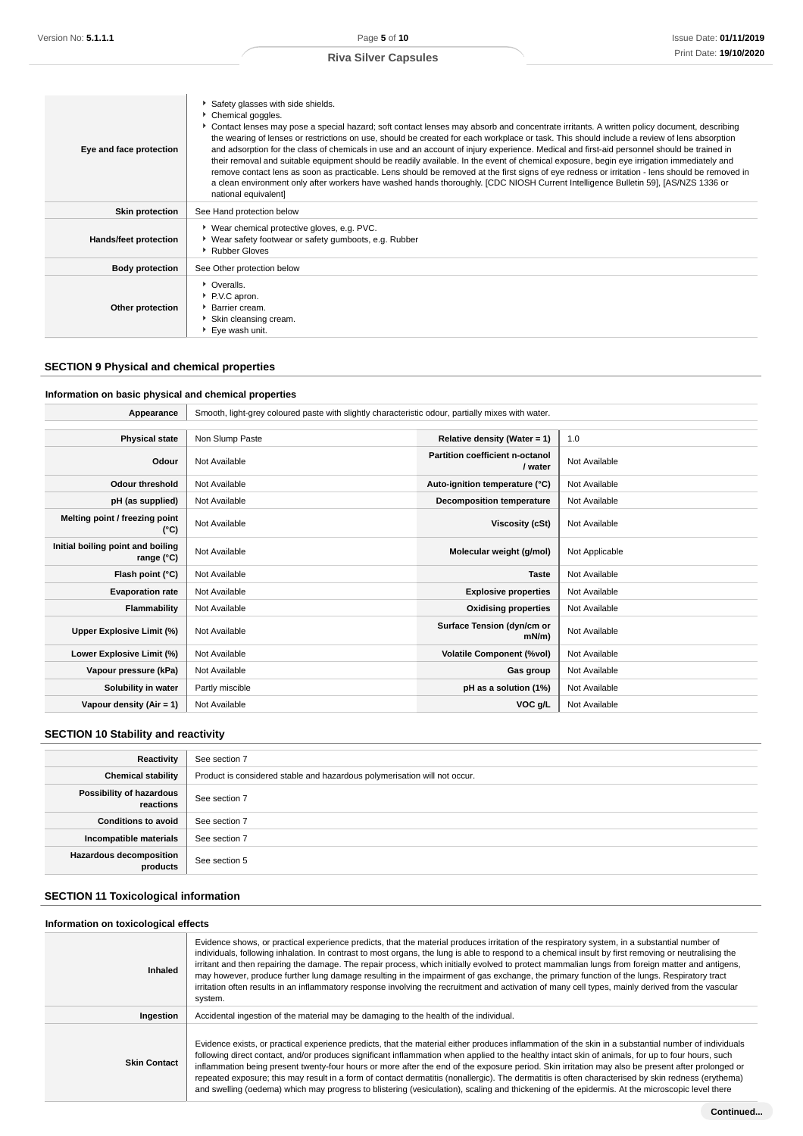| Eye and face protection | Safety glasses with side shields.<br>Chemical goggles.<br>▶ Contact lenses may pose a special hazard; soft contact lenses may absorb and concentrate irritants. A written policy document, describing<br>the wearing of lenses or restrictions on use, should be created for each workplace or task. This should include a review of lens absorption<br>and adsorption for the class of chemicals in use and an account of injury experience. Medical and first-aid personnel should be trained in<br>their removal and suitable equipment should be readily available. In the event of chemical exposure, begin eye irrigation immediately and<br>remove contact lens as soon as practicable. Lens should be removed at the first signs of eye redness or irritation - lens should be removed in<br>a clean environment only after workers have washed hands thoroughly. [CDC NIOSH Current Intelligence Bulletin 59], [AS/NZS 1336 or<br>national equivalent] |
|-------------------------|-----------------------------------------------------------------------------------------------------------------------------------------------------------------------------------------------------------------------------------------------------------------------------------------------------------------------------------------------------------------------------------------------------------------------------------------------------------------------------------------------------------------------------------------------------------------------------------------------------------------------------------------------------------------------------------------------------------------------------------------------------------------------------------------------------------------------------------------------------------------------------------------------------------------------------------------------------------------|
| <b>Skin protection</b>  | See Hand protection below                                                                                                                                                                                                                                                                                                                                                                                                                                                                                                                                                                                                                                                                                                                                                                                                                                                                                                                                       |
| Hands/feet protection   | ▶ Wear chemical protective gloves, e.g. PVC.<br>▶ Wear safety footwear or safety gumboots, e.g. Rubber<br>Rubber Gloves                                                                                                                                                                                                                                                                                                                                                                                                                                                                                                                                                                                                                                                                                                                                                                                                                                         |
| <b>Body protection</b>  | See Other protection below                                                                                                                                                                                                                                                                                                                                                                                                                                                                                                                                                                                                                                                                                                                                                                                                                                                                                                                                      |
| Other protection        | • Overalls.<br>P.V.C apron.<br>Barrier cream.<br>Skin cleansing cream.<br>Eye wash unit.                                                                                                                                                                                                                                                                                                                                                                                                                                                                                                                                                                                                                                                                                                                                                                                                                                                                        |

# **SECTION 9 Physical and chemical properties**

# **Information on basic physical and chemical properties**

| Appearance                                      | Smooth, light-grey coloured paste with slightly characteristic odour, partially mixes with water. |                                                   |                |
|-------------------------------------------------|---------------------------------------------------------------------------------------------------|---------------------------------------------------|----------------|
|                                                 |                                                                                                   |                                                   |                |
| <b>Physical state</b>                           | Non Slump Paste                                                                                   | Relative density (Water = 1)                      | 1.0            |
| Odour                                           | Not Available                                                                                     | <b>Partition coefficient n-octanol</b><br>/ water | Not Available  |
| <b>Odour threshold</b>                          | Not Available                                                                                     | Auto-ignition temperature (°C)                    | Not Available  |
| pH (as supplied)                                | Not Available                                                                                     | <b>Decomposition temperature</b>                  | Not Available  |
| Melting point / freezing point<br>(°C)          | Not Available                                                                                     | Viscosity (cSt)                                   | Not Available  |
| Initial boiling point and boiling<br>range (°C) | Not Available                                                                                     | Molecular weight (g/mol)                          | Not Applicable |
| Flash point (°C)                                | Not Available                                                                                     | <b>Taste</b>                                      | Not Available  |
| <b>Evaporation rate</b>                         | Not Available                                                                                     | <b>Explosive properties</b>                       | Not Available  |
| Flammability                                    | Not Available                                                                                     | <b>Oxidising properties</b>                       | Not Available  |
| Upper Explosive Limit (%)                       | Not Available                                                                                     | Surface Tension (dyn/cm or<br>mN/m                | Not Available  |
| Lower Explosive Limit (%)                       | Not Available                                                                                     | <b>Volatile Component (%vol)</b>                  | Not Available  |
| Vapour pressure (kPa)                           | Not Available                                                                                     | Gas group                                         | Not Available  |
| Solubility in water                             | Partly miscible                                                                                   | pH as a solution (1%)                             | Not Available  |
| Vapour density $(Air = 1)$                      | Not Available                                                                                     | VOC g/L                                           | Not Available  |

# **SECTION 10 Stability and reactivity**

| Reactivity                                 | See section 7                                                             |
|--------------------------------------------|---------------------------------------------------------------------------|
| <b>Chemical stability</b>                  | Product is considered stable and hazardous polymerisation will not occur. |
| Possibility of hazardous<br>reactions      | See section 7                                                             |
| <b>Conditions to avoid</b>                 | See section 7                                                             |
| Incompatible materials                     | See section 7                                                             |
| <b>Hazardous decomposition</b><br>products | See section 5                                                             |

# **SECTION 11 Toxicological information**

# **Information on toxicological effects**

| Inhaled             | Evidence shows, or practical experience predicts, that the material produces irritation of the respiratory system, in a substantial number of<br>individuals, following inhalation. In contrast to most organs, the lung is able to respond to a chemical insult by first removing or neutralising the<br>irritant and then repairing the damage. The repair process, which initially evolved to protect mammalian lungs from foreign matter and antigens,<br>may however, produce further lung damage resulting in the impairment of gas exchange, the primary function of the lungs. Respiratory tract<br>irritation often results in an inflammatory response involving the recruitment and activation of many cell types, mainly derived from the vascular<br>system. |
|---------------------|---------------------------------------------------------------------------------------------------------------------------------------------------------------------------------------------------------------------------------------------------------------------------------------------------------------------------------------------------------------------------------------------------------------------------------------------------------------------------------------------------------------------------------------------------------------------------------------------------------------------------------------------------------------------------------------------------------------------------------------------------------------------------|
| Ingestion           | Accidental ingestion of the material may be damaging to the health of the individual.                                                                                                                                                                                                                                                                                                                                                                                                                                                                                                                                                                                                                                                                                     |
| <b>Skin Contact</b> | Evidence exists, or practical experience predicts, that the material either produces inflammation of the skin in a substantial number of individuals<br>following direct contact, and/or produces significant inflammation when applied to the healthy intact skin of animals, for up to four hours, such<br>inflammation being present twenty-four hours or more after the end of the exposure period. Skin irritation may also be present after prolonged or<br>repeated exposure; this may result in a form of contact dermatitis (nonallergic). The dermatitis is often characterised by skin redness (erythema)<br>and swelling (oedema) which may progress to blistering (vesiculation), scaling and thickening of the epidermis. At the microscopic level there    |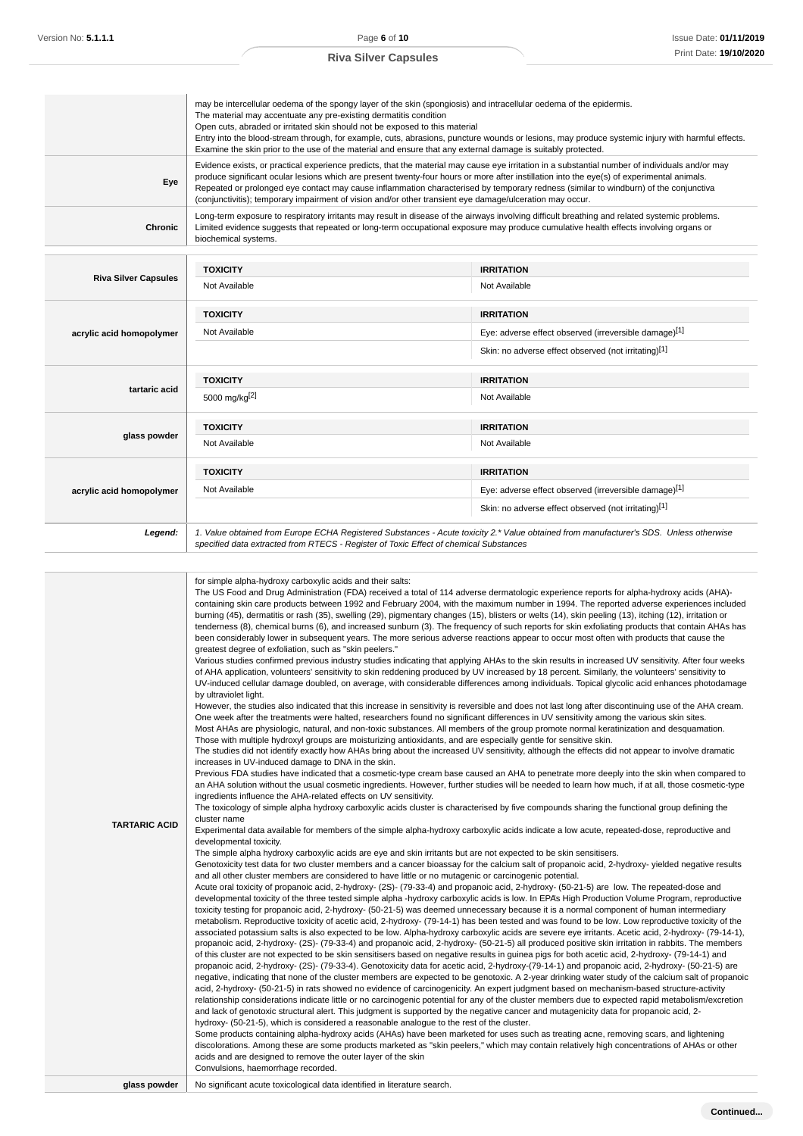|                             | may be intercellular oedema of the spongy layer of the skin (spongiosis) and intracellular oedema of the epidermis.<br>The material may accentuate any pre-existing dermatitis condition<br>Open cuts, abraded or irritated skin should not be exposed to this material<br>Examine the skin prior to the use of the material and ensure that any external damage is suitably protected.                                                                                                                                                           | Entry into the blood-stream through, for example, cuts, abrasions, puncture wounds or lesions, may produce systemic injury with harmful effects. |  |
|-----------------------------|---------------------------------------------------------------------------------------------------------------------------------------------------------------------------------------------------------------------------------------------------------------------------------------------------------------------------------------------------------------------------------------------------------------------------------------------------------------------------------------------------------------------------------------------------|--------------------------------------------------------------------------------------------------------------------------------------------------|--|
| Eye                         | Evidence exists, or practical experience predicts, that the material may cause eye irritation in a substantial number of individuals and/or may<br>produce significant ocular lesions which are present twenty-four hours or more after instillation into the eye(s) of experimental animals.<br>Repeated or prolonged eye contact may cause inflammation characterised by temporary redness (similar to windburn) of the conjunctiva<br>(conjunctivitis); temporary impairment of vision and/or other transient eye damage/ulceration may occur. |                                                                                                                                                  |  |
| Chronic                     | Long-term exposure to respiratory irritants may result in disease of the airways involving difficult breathing and related systemic problems.<br>Limited evidence suggests that repeated or long-term occupational exposure may produce cumulative health effects involving organs or<br>biochemical systems.                                                                                                                                                                                                                                     |                                                                                                                                                  |  |
|                             | <b>TOXICITY</b>                                                                                                                                                                                                                                                                                                                                                                                                                                                                                                                                   | <b>IRRITATION</b>                                                                                                                                |  |
| <b>Riva Silver Capsules</b> | Not Available                                                                                                                                                                                                                                                                                                                                                                                                                                                                                                                                     | Not Available                                                                                                                                    |  |
|                             | <b>TOXICITY</b>                                                                                                                                                                                                                                                                                                                                                                                                                                                                                                                                   | <b>IRRITATION</b>                                                                                                                                |  |
| acrylic acid homopolymer    | Not Available                                                                                                                                                                                                                                                                                                                                                                                                                                                                                                                                     | Eye: adverse effect observed (irreversible damage)[1]                                                                                            |  |
|                             |                                                                                                                                                                                                                                                                                                                                                                                                                                                                                                                                                   | Skin: no adverse effect observed (not irritating)[1]                                                                                             |  |
| tartaric acid               | <b>TOXICITY</b>                                                                                                                                                                                                                                                                                                                                                                                                                                                                                                                                   | <b>IRRITATION</b>                                                                                                                                |  |

|                          | <b>TOXICITY</b>                                                                                                                                                                                                                 | <b>IRRITATION</b>                                     |
|--------------------------|---------------------------------------------------------------------------------------------------------------------------------------------------------------------------------------------------------------------------------|-------------------------------------------------------|
| tartaric acid            | 5000 mg/kg <sup>[2]</sup>                                                                                                                                                                                                       | Not Available                                         |
|                          | <b>TOXICITY</b>                                                                                                                                                                                                                 | <b>IRRITATION</b>                                     |
| glass powder             | Not Available                                                                                                                                                                                                                   | Not Available                                         |
|                          | <b>TOXICITY</b><br><b>IRRITATION</b>                                                                                                                                                                                            |                                                       |
| acrylic acid homopolymer | Not Available                                                                                                                                                                                                                   | Eye: adverse effect observed (irreversible damage)[1] |
|                          |                                                                                                                                                                                                                                 | Skin: no adverse effect observed (not irritating)[1]  |
| Legend:                  | 1. Value obtained from Europe ECHA Registered Substances - Acute toxicity 2.* Value obtained from manufacturer's SDS. Unless otherwise<br>specified data extracted from RTECS - Register of Toxic Effect of chemical Substances |                                                       |

| <b>TARTARIC ACID</b><br>glass powder | for simple alpha-hydroxy carboxylic acids and their salts:<br>The US Food and Drug Administration (FDA) received a total of 114 adverse dermatologic experience reports for alpha-hydroxy acids (AHA)-<br>containing skin care products between 1992 and February 2004, with the maximum number in 1994. The reported adverse experiences included<br>burning (45), dermatitis or rash (35), swelling (29), pigmentary changes (15), blisters or welts (14), skin peeling (13), itching (12), irritation or<br>tenderness (8), chemical burns (6), and increased sunburn (3). The frequency of such reports for skin exfoliating products that contain AHAs has<br>been considerably lower in subsequent years. The more serious adverse reactions appear to occur most often with products that cause the<br>greatest degree of exfoliation, such as "skin peelers."<br>Various studies confirmed previous industry studies indicating that applying AHAs to the skin results in increased UV sensitivity. After four weeks<br>of AHA application, volunteers' sensitivity to skin reddening produced by UV increased by 18 percent. Similarly, the volunteers' sensitivity to<br>UV-induced cellular damage doubled, on average, with considerable differences among individuals. Topical glycolic acid enhances photodamage<br>by ultraviolet light.<br>However, the studies also indicated that this increase in sensitivity is reversible and does not last long after discontinuing use of the AHA cream.<br>One week after the treatments were halted, researchers found no significant differences in UV sensitivity among the various skin sites.<br>Most AHAs are physiologic, natural, and non-toxic substances. All members of the group promote normal keratinization and desquamation.<br>Those with multiple hydroxyl groups are moisturizing antioxidants, and are especially gentle for sensitive skin.<br>The studies did not identify exactly how AHAs bring about the increased UV sensitivity, although the effects did not appear to involve dramatic<br>increases in UV-induced damage to DNA in the skin.<br>Previous FDA studies have indicated that a cosmetic-type cream base caused an AHA to penetrate more deeply into the skin when compared to<br>an AHA solution without the usual cosmetic ingredients. However, further studies will be needed to learn how much, if at all, those cosmetic-type<br>ingredients influence the AHA-related effects on UV sensitivity.<br>The toxicology of simple alpha hydroxy carboxylic acids cluster is characterised by five compounds sharing the functional group defining the<br>cluster name<br>Experimental data available for members of the simple alpha-hydroxy carboxylic acids indicate a low acute, repeated-dose, reproductive and<br>developmental toxicity.<br>The simple alpha hydroxy carboxylic acids are eye and skin irritants but are not expected to be skin sensitisers.<br>Genotoxicity test data for two cluster members and a cancer bioassay for the calcium salt of propanoic acid, 2-hydroxy-yielded negative results<br>and all other cluster members are considered to have little or no mutagenic or carcinogenic potential.<br>Acute oral toxicity of propanoic acid, 2-hydroxy- (2S)- (79-33-4) and propanoic acid, 2-hydroxy- (50-21-5) are low. The repeated-dose and<br>developmental toxicity of the three tested simple alpha -hydroxy carboxylic acids is low. In EPA's High Production Volume Program, reproductive<br>toxicity testing for propanoic acid, 2-hydroxy- (50-21-5) was deemed unnecessary because it is a normal component of human intermediary<br>metabolism. Reproductive toxicity of acetic acid, 2-hydroxy- (79-14-1) has been tested and was found to be low. Low reproductive toxicity of the<br>associated potassium salts is also expected to be low. Alpha-hydroxy carboxylic acids are severe eye irritants. Acetic acid, 2-hydroxy- (79-14-1),<br>propanoic acid, 2-hydroxy- (2S)- (79-33-4) and propanoic acid, 2-hydroxy- (50-21-5) all produced positive skin irritation in rabbits. The members<br>of this cluster are not expected to be skin sensitisers based on negative results in guinea pigs for both acetic acid, 2-hydroxy- (79-14-1) and<br>propanoic acid, 2-hydroxy- (2S)- (79-33-4). Genotoxicity data for acetic acid, 2-hydroxy-(79-14-1) and propanoic acid, 2-hydroxy- (50-21-5) are<br>negative, indicating that none of the cluster members are expected to be genotoxic. A 2-year drinking water study of the calcium salt of propanoic<br>acid, 2-hydroxy- (50-21-5) in rats showed no evidence of carcinogenicity. An expert judgment based on mechanism-based structure-activity<br>relationship considerations indicate little or no carcinogenic potential for any of the cluster members due to expected rapid metabolism/excretion<br>and lack of genotoxic structural alert. This judgment is supported by the negative cancer and mutagenicity data for propanoic acid, 2-<br>hydroxy- (50-21-5), which is considered a reasonable analogue to the rest of the cluster.<br>Some products containing alpha-hydroxy acids (AHAs) have been marketed for uses such as treating acne, removing scars, and lightening<br>discolorations. Among these are some products marketed as "skin peelers," which may contain relatively high concentrations of AHAs or other<br>acids and are designed to remove the outer layer of the skin<br>Convulsions, haemorrhage recorded.<br>No significant acute toxicological data identified in literature search. |
|--------------------------------------|-----------------------------------------------------------------------------------------------------------------------------------------------------------------------------------------------------------------------------------------------------------------------------------------------------------------------------------------------------------------------------------------------------------------------------------------------------------------------------------------------------------------------------------------------------------------------------------------------------------------------------------------------------------------------------------------------------------------------------------------------------------------------------------------------------------------------------------------------------------------------------------------------------------------------------------------------------------------------------------------------------------------------------------------------------------------------------------------------------------------------------------------------------------------------------------------------------------------------------------------------------------------------------------------------------------------------------------------------------------------------------------------------------------------------------------------------------------------------------------------------------------------------------------------------------------------------------------------------------------------------------------------------------------------------------------------------------------------------------------------------------------------------------------------------------------------------------------------------------------------------------------------------------------------------------------------------------------------------------------------------------------------------------------------------------------------------------------------------------------------------------------------------------------------------------------------------------------------------------------------------------------------------------------------------------------------------------------------------------------------------------------------------------------------------------------------------------------------------------------------------------------------------------------------------------------------------------------------------------------------------------------------------------------------------------------------------------------------------------------------------------------------------------------------------------------------------------------------------------------------------------------------------------------------------------------------------------------------------------------------------------------------------------------------------------------------------------------------------------------------------------------------------------------------------------------------------------------------------------------------------------------------------------------------------------------------------------------------------------------------------------------------------------------------------------------------------------------------------------------------------------------------------------------------------------------------------------------------------------------------------------------------------------------------------------------------------------------------------------------------------------------------------------------------------------------------------------------------------------------------------------------------------------------------------------------------------------------------------------------------------------------------------------------------------------------------------------------------------------------------------------------------------------------------------------------------------------------------------------------------------------------------------------------------------------------------------------------------------------------------------------------------------------------------------------------------------------------------------------------------------------------------------------------------------------------------------------------------------------------------------------------------------------------------------------------------------------------------------------------------------------------------------------------------------------------------------------------------------------------------------------------------------------------------------------------------------------------------------------------------------------------------------------------------------------------------------------------------------------------------------------------------------------------------------------------------------------------------------------------------------------------------------------------------------------------------------------------------------------------------------------------------------------------------------------------------------------------------------------------------------------------------------------------------------------------------------------------------------------------------------------|
|                                      |                                                                                                                                                                                                                                                                                                                                                                                                                                                                                                                                                                                                                                                                                                                                                                                                                                                                                                                                                                                                                                                                                                                                                                                                                                                                                                                                                                                                                                                                                                                                                                                                                                                                                                                                                                                                                                                                                                                                                                                                                                                                                                                                                                                                                                                                                                                                                                                                                                                                                                                                                                                                                                                                                                                                                                                                                                                                                                                                                                                                                                                                                                                                                                                                                                                                                                                                                                                                                                                                                                                                                                                                                                                                                                                                                                                                                                                                                                                                                                                                                                                                                                                                                                                                                                                                                                                                                                                                                                                                                                                                                                                                                                                                                                                                                                                                                                                                                                                                                                                                                                                                                                                                                                                                                                                                                                                                                                                                                                                                                                                                                                                                                             |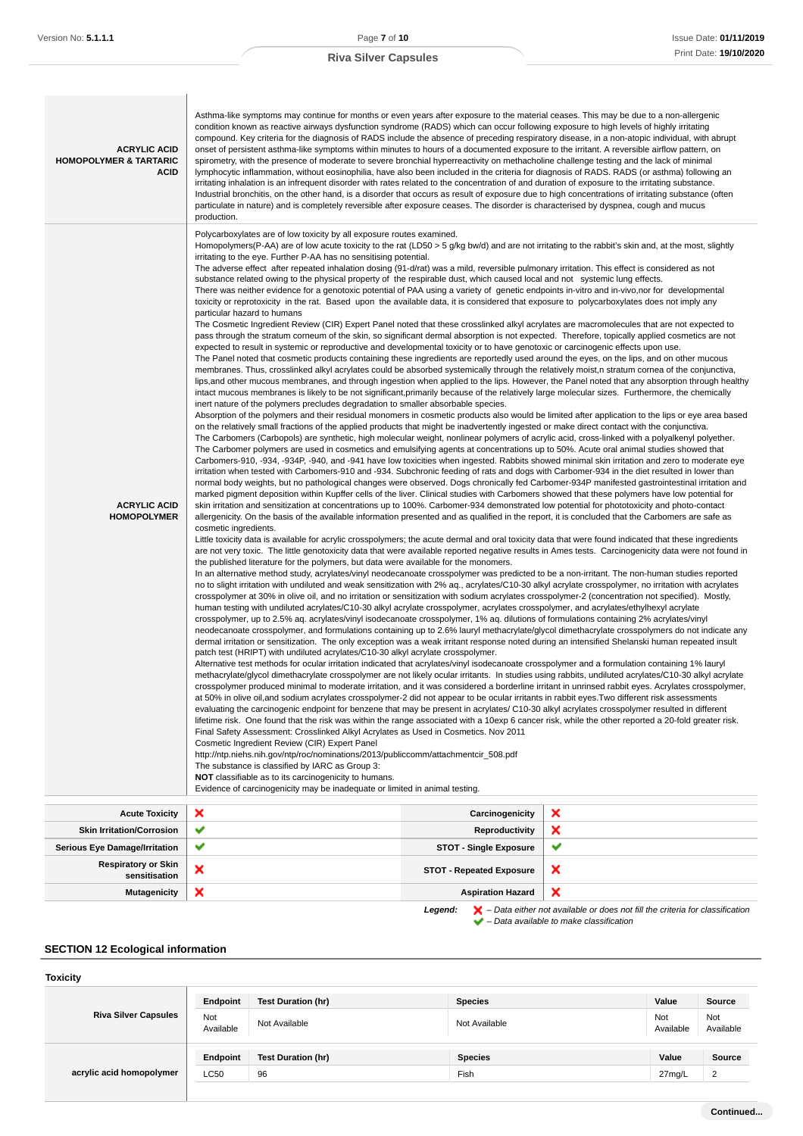the control of the control of

# **Riva Silver Capsules**

| <b>ACRYLIC ACID</b><br><b>HOMOPOLYMER &amp; TARTARIC</b><br>ACID | Asthma-like symptoms may continue for months or even years after exposure to the material ceases. This may be due to a non-allergenic<br>condition known as reactive airways dysfunction syndrome (RADS) which can occur following exposure to high levels of highly irritating<br>compound. Key criteria for the diagnosis of RADS include the absence of preceding respiratory disease, in a non-atopic individual, with abrupt<br>onset of persistent asthma-like symptoms within minutes to hours of a documented exposure to the irritant. A reversible airflow pattern, on<br>spirometry, with the presence of moderate to severe bronchial hyperreactivity on methacholine challenge testing and the lack of minimal<br>lymphocytic inflammation, without eosinophilia, have also been included in the criteria for diagnosis of RADS. RADS (or asthma) following an<br>irritating inhalation is an infrequent disorder with rates related to the concentration of and duration of exposure to the irritating substance.<br>Industrial bronchitis, on the other hand, is a disorder that occurs as result of exposure due to high concentrations of irritating substance (often<br>particulate in nature) and is completely reversible after exposure ceases. The disorder is characterised by dyspnea, cough and mucus<br>production.                                                                                                                                                                                                                                                                                                                                                                                                                                                                                                                                                                                                                                                                                                                                                                                                                                                                                                                                                                                                                                                                                                                                                                                                                                                                                                                                                                                                                                                                                                                                                                                                                                                                                                                                                                                                                                                                                                                                                                                                                                                                                                                                                                                                                                                                                                                                                                                                                                                                                                                                                                                                                                                                                                                                                                                                                                                                                                                                                                                                                                                                                                                                                                                                                                                                                                                                                                                                                                                                                                                                                                                                                                                                                                                                                                                                                                                                                                                                                                                                                                                                                                                                                                                                                                                                                                                                                                                                                                                                                                                                                                                                                                                                                                                                                                                                                                                                                                                                                                                                                                                                                                                              |   |
|------------------------------------------------------------------|----------------------------------------------------------------------------------------------------------------------------------------------------------------------------------------------------------------------------------------------------------------------------------------------------------------------------------------------------------------------------------------------------------------------------------------------------------------------------------------------------------------------------------------------------------------------------------------------------------------------------------------------------------------------------------------------------------------------------------------------------------------------------------------------------------------------------------------------------------------------------------------------------------------------------------------------------------------------------------------------------------------------------------------------------------------------------------------------------------------------------------------------------------------------------------------------------------------------------------------------------------------------------------------------------------------------------------------------------------------------------------------------------------------------------------------------------------------------------------------------------------------------------------------------------------------------------------------------------------------------------------------------------------------------------------------------------------------------------------------------------------------------------------------------------------------------------------------------------------------------------------------------------------------------------------------------------------------------------------------------------------------------------------------------------------------------------------------------------------------------------------------------------------------------------------------------------------------------------------------------------------------------------------------------------------------------------------------------------------------------------------------------------------------------------------------------------------------------------------------------------------------------------------------------------------------------------------------------------------------------------------------------------------------------------------------------------------------------------------------------------------------------------------------------------------------------------------------------------------------------------------------------------------------------------------------------------------------------------------------------------------------------------------------------------------------------------------------------------------------------------------------------------------------------------------------------------------------------------------------------------------------------------------------------------------------------------------------------------------------------------------------------------------------------------------------------------------------------------------------------------------------------------------------------------------------------------------------------------------------------------------------------------------------------------------------------------------------------------------------------------------------------------------------------------------------------------------------------------------------------------------------------------------------------------------------------------------------------------------------------------------------------------------------------------------------------------------------------------------------------------------------------------------------------------------------------------------------------------------------------------------------------------------------------------------------------------------------------------------------------------------------------------------------------------------------------------------------------------------------------------------------------------------------------------------------------------------------------------------------------------------------------------------------------------------------------------------------------------------------------------------------------------------------------------------------------------------------------------------------------------------------------------------------------------------------------------------------------------------------------------------------------------------------------------------------------------------------------------------------------------------------------------------------------------------------------------------------------------------------------------------------------------------------------------------------------------------------------------------------------------------------------------------------------------------------------------------------------------------------------------------------------------------------------------------------------------------------------------------------------------------------------------------------------------------------------------------------------------------------------------------------------------------------------------------------------------------------------------------------------------------------------------------------------------------------------------------------------------------------------------------------------------------------------------------------------------------------------------------------------------------------------------------------------------------------------------------------------------------------------------------------------------------------------------------------------------------------------------------------------------------------------------------------------------------------------------------------------------|---|
| <b>ACRYLIC ACID</b><br><b>HOMOPOLYMER</b>                        | Polycarboxylates are of low toxicity by all exposure routes examined.<br>Homopolymers (P-AA) are of low acute toxicity to the rat (LD50 > 5 g/kg bw/d) and are not irritating to the rabbit's skin and, at the most, slightly<br>irritating to the eye. Further P-AA has no sensitising potential.<br>The adverse effect after repeated inhalation dosing (91-d/rat) was a mild, reversible pulmonary irritation. This effect is considered as not<br>substance related owing to the physical property of the respirable dust, which caused local and not systemic lung effects.<br>There was neither evidence for a genotoxic potential of PAA using a variety of genetic endpoints in-vitro and in-vivo, nor for developmental<br>toxicity or reprotoxicity in the rat. Based upon the available data, it is considered that exposure to polycarboxylates does not imply any<br>particular hazard to humans<br>The Cosmetic Ingredient Review (CIR) Expert Panel noted that these crosslinked alkyl acrylates are macromolecules that are not expected to<br>pass through the stratum corneum of the skin, so significant dermal absorption is not expected. Therefore, topically applied cosmetics are not<br>expected to result in systemic or reproductive and developmental toxicity or to have genotoxic or carcinogenic effects upon use.<br>The Panel noted that cosmetic products containing these ingredients are reportedly used around the eyes, on the lips, and on other mucous<br>membranes. Thus, crosslinked alkyl acrylates could be absorbed systemically through the relatively moist, n stratum cornea of the conjunctiva,<br>lips, and other mucous membranes, and through ingestion when applied to the lips. However, the Panel noted that any absorption through healthy<br>intact mucous membranes is likely to be not significant, primarily because of the relatively large molecular sizes. Furthermore, the chemically<br>inert nature of the polymers precludes degradation to smaller absorbable species.<br>Absorption of the polymers and their residual monomers in cosmetic products also would be limited after application to the lips or eye area based<br>on the relatively small fractions of the applied products that might be inadvertently ingested or make direct contact with the conjunctiva.<br>The Carbomers (Carbopols) are synthetic, high molecular weight, nonlinear polymers of acrylic acid, cross-linked with a polyalkenyl polyether.<br>The Carbomer polymers are used in cosmetics and emulsifying agents at concentrations up to 50%. Acute oral animal studies showed that<br>Carbomers-910, -934, -934P, -940, and -941 have low toxicities when ingested. Rabbits showed minimal skin irritation and zero to moderate eye<br>irritation when tested with Carbomers-910 and -934. Subchronic feeding of rats and dogs with Carbomer-934 in the diet resulted in lower than<br>normal body weights, but no pathological changes were observed. Dogs chronically fed Carbomer-934P manifested gastrointestinal irritation and<br>marked pigment deposition within Kupffer cells of the liver. Clinical studies with Carbomers showed that these polymers have low potential for<br>skin irritation and sensitization at concentrations up to 100%. Carbomer-934 demonstrated low potential for phototoxicity and photo-contact<br>allergenicity. On the basis of the available information presented and as qualified in the report, it is concluded that the Carbomers are safe as<br>cosmetic ingredients.<br>Little toxicity data is available for acrylic crosspolymers; the acute dermal and oral toxicity data that were found indicated that these ingredients<br>are not very toxic. The little genotoxicity data that were available reported negative results in Ames tests. Carcinogenicity data were not found in<br>the published literature for the polymers, but data were available for the monomers.<br>In an alternative method study, acrylates/vinyl neodecanoate crosspolymer was predicted to be a non-irritant. The non-human studies reported<br>no to slight irritation with undiluted and weak sensitization with 2% aq., acrylates/C10-30 alkyl acrylate crosspolymer, no irritation with acrylates<br>crosspolymer at 30% in olive oil, and no irritation or sensitization with sodium acrylates crosspolymer-2 (concentration not specified). Mostly,<br>human testing with undiluted acrylates/C10-30 alkyl acrylate crosspolymer, acrylates crosspolymer, and acrylates/ethylhexyl acrylate<br>crosspolymer, up to 2.5% aq. acrylates/vinyl isodecanoate crosspolymer, 1% aq. dilutions of formulations containing 2% acrylates/vinyl<br>neodecanoate crosspolymer, and formulations containing up to 2.6% lauryl methacrylate/glycol dimethacrylate crosspolymers do not indicate any<br>dermal irritation or sensitization. The only exception was a weak irritant response noted during an intensified Shelanski human repeated insult<br>patch test (HRIPT) with undiluted acrylates/C10-30 alkyl acrylate crosspolymer.<br>Alternative test methods for ocular irritation indicated that acrylates/vinyl isodecanoate crosspolymer and a formulation containing 1% lauryl<br>methacrylate/glycol dimethacrylate crosspolymer are not likely ocular irritants. In studies using rabbits, undiluted acrylates/C10-30 alkyl acrylate<br>crosspolymer produced minimal to moderate irritation, and it was considered a borderline irritant in unrinsed rabbit eyes. Acrylates crosspolymer,<br>at 50% in olive oil, and sodium acrylates crosspolymer-2 did not appear to be ocular irritants in rabbit eyes. Two different risk assessments<br>evaluating the carcinogenic endpoint for benzene that may be present in acrylates/ C10-30 alkyl acrylates crosspolymer resulted in different<br>lifetime risk. One found that the risk was within the range associated with a 10exp 6 cancer risk, while the other reported a 20-fold greater risk.<br>Final Safety Assessment: Crosslinked Alkyl Acrylates as Used in Cosmetics. Nov 2011<br>Cosmetic Ingredient Review (CIR) Expert Panel<br>http://ntp.niehs.nih.gov/ntp/roc/nominations/2013/publiccomm/attachmentcir_508.pdf<br>The substance is classified by IARC as Group 3:<br>NOT classifiable as to its carcinogenicity to humans.<br>Evidence of carcinogenicity may be inadequate or limited in animal testing. |   |
| <b>Acute Toxicity</b>                                            | ×<br>Carcinogenicity                                                                                                                                                                                                                                                                                                                                                                                                                                                                                                                                                                                                                                                                                                                                                                                                                                                                                                                                                                                                                                                                                                                                                                                                                                                                                                                                                                                                                                                                                                                                                                                                                                                                                                                                                                                                                                                                                                                                                                                                                                                                                                                                                                                                                                                                                                                                                                                                                                                                                                                                                                                                                                                                                                                                                                                                                                                                                                                                                                                                                                                                                                                                                                                                                                                                                                                                                                                                                                                                                                                                                                                                                                                                                                                                                                                                                                                                                                                                                                                                                                                                                                                                                                                                                                                                                                                                                                                                                                                                                                                                                                                                                                                                                                                                                                                                                                                                                                                                                                                                                                                                                                                                                                                                                                                                                                                                                                                                                                                                                                                                                                                                                                                                                                                                                                                                                                                                                                                                                                                                                                                                                                                                                                                                                                                                                                                                                                                                                                                       | × |
| <b>Skin Irritation/Corrosion</b>                                 | ✔<br>Reproductivity                                                                                                                                                                                                                                                                                                                                                                                                                                                                                                                                                                                                                                                                                                                                                                                                                                                                                                                                                                                                                                                                                                                                                                                                                                                                                                                                                                                                                                                                                                                                                                                                                                                                                                                                                                                                                                                                                                                                                                                                                                                                                                                                                                                                                                                                                                                                                                                                                                                                                                                                                                                                                                                                                                                                                                                                                                                                                                                                                                                                                                                                                                                                                                                                                                                                                                                                                                                                                                                                                                                                                                                                                                                                                                                                                                                                                                                                                                                                                                                                                                                                                                                                                                                                                                                                                                                                                                                                                                                                                                                                                                                                                                                                                                                                                                                                                                                                                                                                                                                                                                                                                                                                                                                                                                                                                                                                                                                                                                                                                                                                                                                                                                                                                                                                                                                                                                                                                                                                                                                                                                                                                                                                                                                                                                                                                                                                                                                                                                                        | × |
| <b>Serious Eye Damage/Irritation</b>                             | ✔<br><b>STOT - Single Exposure</b>                                                                                                                                                                                                                                                                                                                                                                                                                                                                                                                                                                                                                                                                                                                                                                                                                                                                                                                                                                                                                                                                                                                                                                                                                                                                                                                                                                                                                                                                                                                                                                                                                                                                                                                                                                                                                                                                                                                                                                                                                                                                                                                                                                                                                                                                                                                                                                                                                                                                                                                                                                                                                                                                                                                                                                                                                                                                                                                                                                                                                                                                                                                                                                                                                                                                                                                                                                                                                                                                                                                                                                                                                                                                                                                                                                                                                                                                                                                                                                                                                                                                                                                                                                                                                                                                                                                                                                                                                                                                                                                                                                                                                                                                                                                                                                                                                                                                                                                                                                                                                                                                                                                                                                                                                                                                                                                                                                                                                                                                                                                                                                                                                                                                                                                                                                                                                                                                                                                                                                                                                                                                                                                                                                                                                                                                                                                                                                                                                                         | ✔ |
| <b>Respiratory or Skin</b><br>sensitisation                      | ×<br><b>STOT - Repeated Exposure</b>                                                                                                                                                                                                                                                                                                                                                                                                                                                                                                                                                                                                                                                                                                                                                                                                                                                                                                                                                                                                                                                                                                                                                                                                                                                                                                                                                                                                                                                                                                                                                                                                                                                                                                                                                                                                                                                                                                                                                                                                                                                                                                                                                                                                                                                                                                                                                                                                                                                                                                                                                                                                                                                                                                                                                                                                                                                                                                                                                                                                                                                                                                                                                                                                                                                                                                                                                                                                                                                                                                                                                                                                                                                                                                                                                                                                                                                                                                                                                                                                                                                                                                                                                                                                                                                                                                                                                                                                                                                                                                                                                                                                                                                                                                                                                                                                                                                                                                                                                                                                                                                                                                                                                                                                                                                                                                                                                                                                                                                                                                                                                                                                                                                                                                                                                                                                                                                                                                                                                                                                                                                                                                                                                                                                                                                                                                                                                                                                                                       | × |

Legend:  $\mathsf{X}$  – Data either not available or does not fill the criteria for classification

 $\blacktriangleright$  – Data available to make classification

 $\pmb{\times}$  $\overline{\mathbf{x}}$ 

# **SECTION 12 Ecological information**

**Toxicity**

|                             | Endpoint         | <b>Test Duration (hr)</b> | <b>Species</b> | Value            | Source           |
|-----------------------------|------------------|---------------------------|----------------|------------------|------------------|
| <b>Riva Silver Capsules</b> | Not<br>Available | Not Available             | Not Available  | Not<br>Available | Not<br>Available |
|                             | Endpoint         | <b>Test Duration (hr)</b> | <b>Species</b> | Value            | Source           |
| acrylic acid homopolymer    | LC50             | 96                        | Fish           | 27mg/L           | $\overline{2}$   |
|                             |                  |                           |                |                  |                  |

**Mutagenicity X** Aspiration Hazard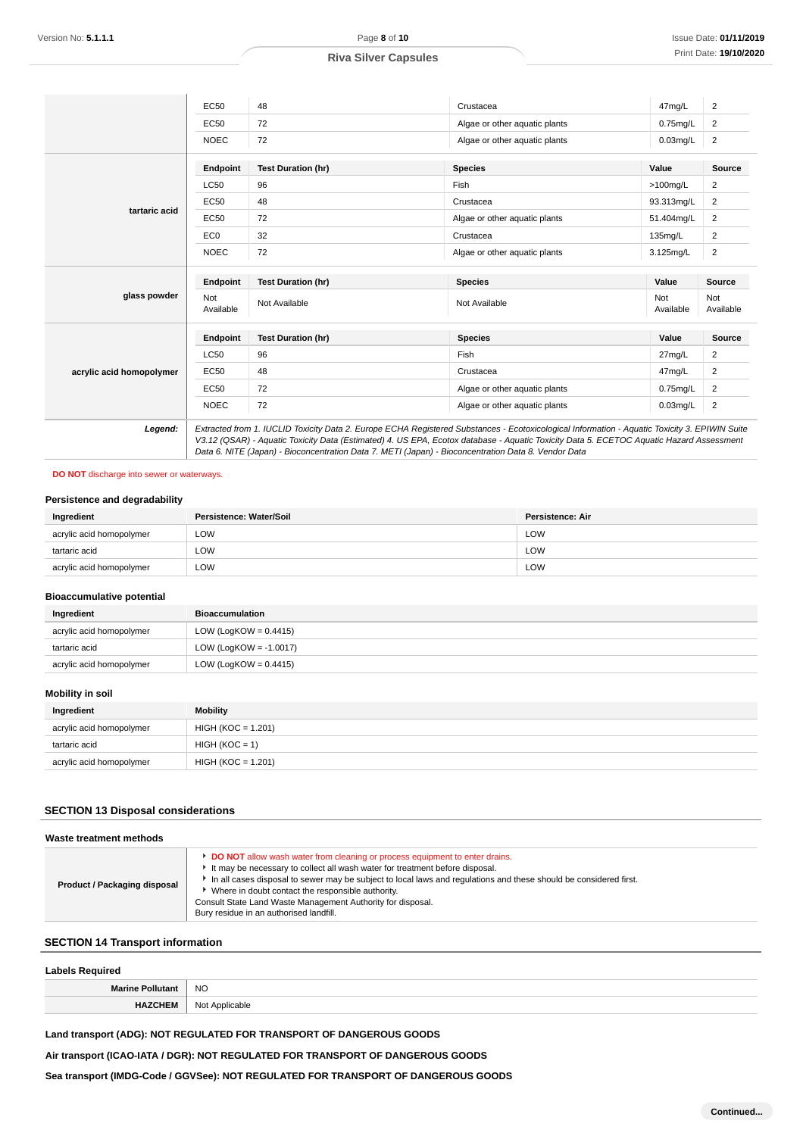|                          | <b>EC50</b>      | 48                        | Crustacea                                                                                                                                                                                                                                                                                | 47mg/L           | $\overline{c}$   |
|--------------------------|------------------|---------------------------|------------------------------------------------------------------------------------------------------------------------------------------------------------------------------------------------------------------------------------------------------------------------------------------|------------------|------------------|
|                          | EC50             | 72                        | Algae or other aquatic plants                                                                                                                                                                                                                                                            | $0.75$ mg/L      | $\overline{2}$   |
|                          | <b>NOEC</b>      | 72                        | Algae or other aquatic plants                                                                                                                                                                                                                                                            | $0.03$ mg/L      | $\overline{2}$   |
|                          | Endpoint         | <b>Test Duration (hr)</b> | <b>Species</b>                                                                                                                                                                                                                                                                           | Value            | <b>Source</b>    |
|                          | <b>LC50</b>      | 96                        | Fish                                                                                                                                                                                                                                                                                     | $>100$ mg/L      | 2                |
|                          | <b>EC50</b>      | 48                        | Crustacea                                                                                                                                                                                                                                                                                | 93.313mg/L       | 2                |
| tartaric acid            | <b>EC50</b>      | 72                        | Algae or other aguatic plants                                                                                                                                                                                                                                                            | 51.404mg/L       | 2                |
|                          | EC <sub>0</sub>  | 32                        | Crustacea                                                                                                                                                                                                                                                                                | 135mg/L          | 2                |
|                          | <b>NOEC</b>      | 72                        | Algae or other aquatic plants                                                                                                                                                                                                                                                            | 3.125mg/L        | $\overline{2}$   |
|                          | Endpoint         | <b>Test Duration (hr)</b> | <b>Species</b>                                                                                                                                                                                                                                                                           | Value            | <b>Source</b>    |
| glass powder             | Not<br>Available | Not Available             | Not Available                                                                                                                                                                                                                                                                            | Not<br>Available | Not<br>Available |
|                          | <b>Endpoint</b>  | <b>Test Duration (hr)</b> | <b>Species</b>                                                                                                                                                                                                                                                                           | Value            | Source           |
|                          | <b>LC50</b>      | 96                        | Fish                                                                                                                                                                                                                                                                                     | 27mg/L           | 2                |
| acrylic acid homopolymer | EC50             | 48                        | Crustacea                                                                                                                                                                                                                                                                                | 47mg/L           | 2                |
|                          | EC50             | 72                        | Algae or other aquatic plants                                                                                                                                                                                                                                                            | $0.75$ mg/L      | 2                |
|                          | <b>NOEC</b>      | 72                        | Algae or other aquatic plants                                                                                                                                                                                                                                                            | $0.03$ mg/L      | $\overline{2}$   |
| Legend:                  |                  |                           | Extracted from 1. IUCLID Toxicity Data 2. Europe ECHA Registered Substances - Ecotoxicological Information - Aquatic Toxicity 3. EPIWIN Suite<br>V3.12 (QSAR) - Aquatic Toxicity Data (Estimated) 4. US EPA, Ecotox database - Aquatic Toxicity Data 5. ECETOC Aquatic Hazard Assessment |                  |                  |

**DO NOT** discharge into sewer or waterways.

#### **Persistence and degradability**

| Ingredient               | Persistence: Water/Soil | Persistence: Air |
|--------------------------|-------------------------|------------------|
| acrylic acid homopolymer | LOW                     | LOW              |
| tartaric acid            | LOW                     | LOW              |
| acrylic acid homopolymer | LOW                     | LOW              |

# **Bioaccumulative potential**

| Ingredient               | Bioaccumulation           |
|--------------------------|---------------------------|
| acrylic acid homopolymer | LOW (LogKOW = $0.4415$ )  |
| tartaric acid            | LOW (LogKOW = $-1.0017$ ) |
| acrylic acid homopolymer | LOW (LogKOW = $0.4415$ )  |

#### **Mobility in soil**

| Ingredient               | <b>Mobility</b>      |
|--------------------------|----------------------|
| acrylic acid homopolymer | $HIGH (KOC = 1.201)$ |
| tartaric acid            | $HIGH (KOC = 1)$     |
| acrylic acid homopolymer | $HIGH (KOC = 1.201)$ |

#### **SECTION 13 Disposal considerations**

| DO NOT allow wash water from cleaning or process equipment to enter drains.<br>It may be necessary to collect all wash water for treatment before disposal.<br>In all cases disposal to sewer may be subject to local laws and regulations and these should be considered first.<br>Product / Packaging disposal<br>• Where in doubt contact the responsible authority.<br>Consult State Land Waste Management Authority for disposal. | Waste treatment methods |                                         |
|----------------------------------------------------------------------------------------------------------------------------------------------------------------------------------------------------------------------------------------------------------------------------------------------------------------------------------------------------------------------------------------------------------------------------------------|-------------------------|-----------------------------------------|
|                                                                                                                                                                                                                                                                                                                                                                                                                                        |                         | Bury residue in an authorised landfill. |

# **SECTION 14 Transport information**

| <b>Labels Required</b>  |                |  |
|-------------------------|----------------|--|
| <b>Marine Pollutant</b> | <b>NO</b>      |  |
| <b>HAZCHEM</b>          | Not Applicable |  |

# **Land transport (ADG): NOT REGULATED FOR TRANSPORT OF DANGEROUS GOODS**

# **Air transport (ICAO-IATA / DGR): NOT REGULATED FOR TRANSPORT OF DANGEROUS GOODS**

**Sea transport (IMDG-Code / GGVSee): NOT REGULATED FOR TRANSPORT OF DANGEROUS GOODS**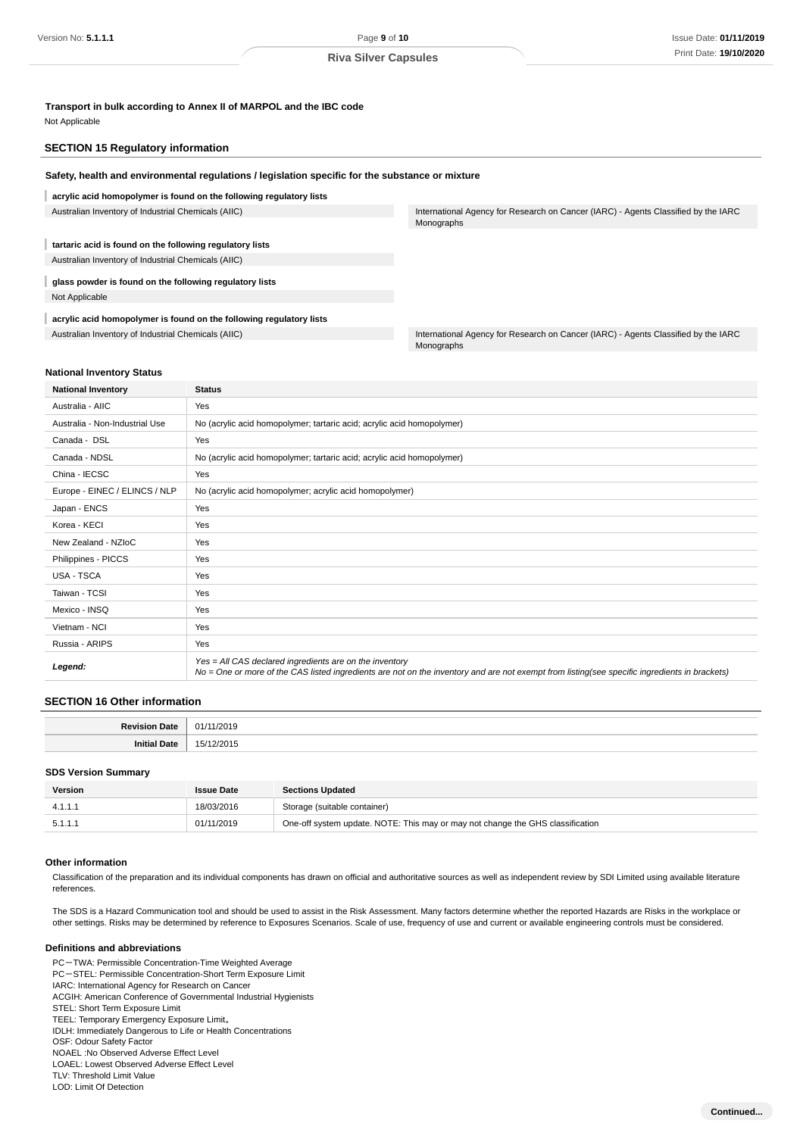**Transport in bulk according to Annex II of MARPOL and the IBC code**

Not Applicable

### **SECTION 15 Regulatory information**

# **Safety, health and environmental regulations / legislation specific for the substance or mixture**

| acrylic acid homopolymer is found on the following regulatory lists |                                                                                                  |
|---------------------------------------------------------------------|--------------------------------------------------------------------------------------------------|
| Australian Inventory of Industrial Chemicals (AIIC)                 | International Agency for Research on Cancer (IARC) - Agents Classified by the IARC<br>Monographs |
|                                                                     |                                                                                                  |
| tartaric acid is found on the following regulatory lists            |                                                                                                  |
| Australian Inventory of Industrial Chemicals (AIIC)                 |                                                                                                  |
| glass powder is found on the following regulatory lists             |                                                                                                  |
| Not Applicable                                                      |                                                                                                  |
| acrylic acid homopolymer is found on the following regulatory lists |                                                                                                  |
| Australian Inventory of Industrial Chemicals (AIIC)                 | International Agency for Research on Cancer (IARC) - Agents Classified by the IARC<br>Monographs |

#### **National Inventory Status**

| <b>National Inventory</b>      | <b>Status</b>                                                                                                                                                                                            |  |  |
|--------------------------------|----------------------------------------------------------------------------------------------------------------------------------------------------------------------------------------------------------|--|--|
| Australia - AIIC               | Yes                                                                                                                                                                                                      |  |  |
| Australia - Non-Industrial Use | No (acrylic acid homopolymer; tartaric acid; acrylic acid homopolymer)                                                                                                                                   |  |  |
| Canada - DSL                   | Yes                                                                                                                                                                                                      |  |  |
| Canada - NDSL                  | No (acrylic acid homopolymer; tartaric acid; acrylic acid homopolymer)                                                                                                                                   |  |  |
| China - IECSC                  | Yes                                                                                                                                                                                                      |  |  |
| Europe - EINEC / ELINCS / NLP  | No (acrylic acid homopolymer; acrylic acid homopolymer)                                                                                                                                                  |  |  |
| Japan - ENCS                   | Yes                                                                                                                                                                                                      |  |  |
| Korea - KECI                   | Yes                                                                                                                                                                                                      |  |  |
| New Zealand - NZIoC            | Yes                                                                                                                                                                                                      |  |  |
| Philippines - PICCS            | Yes                                                                                                                                                                                                      |  |  |
| <b>USA - TSCA</b>              | Yes                                                                                                                                                                                                      |  |  |
| Taiwan - TCSI                  | Yes                                                                                                                                                                                                      |  |  |
| Mexico - INSQ                  | Yes                                                                                                                                                                                                      |  |  |
| Vietnam - NCI                  | Yes                                                                                                                                                                                                      |  |  |
| Russia - ARIPS                 | Yes                                                                                                                                                                                                      |  |  |
| Legend:                        | Yes = All CAS declared ingredients are on the inventory<br>No = One or more of the CAS listed ingredients are not on the inventory and are not exempt from listing(see specific ingredients in brackets) |  |  |

# **SECTION 16 Other information**

| <b>Revision</b> | 1/2019             |
|-----------------|--------------------|
| Date            | 01.                |
| w               |                    |
| _____           | 201<br>$\sim$<br>. |

#### **SDS Version Summary**

| Version | <b>Issue Date</b> | <b>Sections Updated</b>                                                        |
|---------|-------------------|--------------------------------------------------------------------------------|
| 4.1.1.1 | 18/03/2016        | Storage (suitable container)                                                   |
| 5.1.1.1 | 01/11/2019        | One-off system update. NOTE: This may or may not change the GHS classification |

#### **Other information**

Classification of the preparation and its individual components has drawn on official and authoritative sources as well as independent review by SDI Limited using available literature references.

The SDS is a Hazard Communication tool and should be used to assist in the Risk Assessment. Many factors determine whether the reported Hazards are Risks in the workplace or other settings. Risks may be determined by reference to Exposures Scenarios. Scale of use, frequency of use and current or available engineering controls must be considered.

#### **Definitions and abbreviations**

PC-TWA: Permissible Concentration-Time Weighted Average PC-STEL: Permissible Concentration-Short Term Exposure Limit

IARC: International Agency for Research on Cancer

ACGIH: American Conference of Governmental Industrial Hygienists

STEL: Short Term Exposure Limit

TEEL: Temporary Emergency Exposure Limit。 IDLH: Immediately Dangerous to Life or Health Concentrations

OSF: Odour Safety Factor

NOAEL :No Observed Adverse Effect Level

LOAEL: Lowest Observed Adverse Effect Level TLV: Threshold Limit Value

LOD: Limit Of Detection